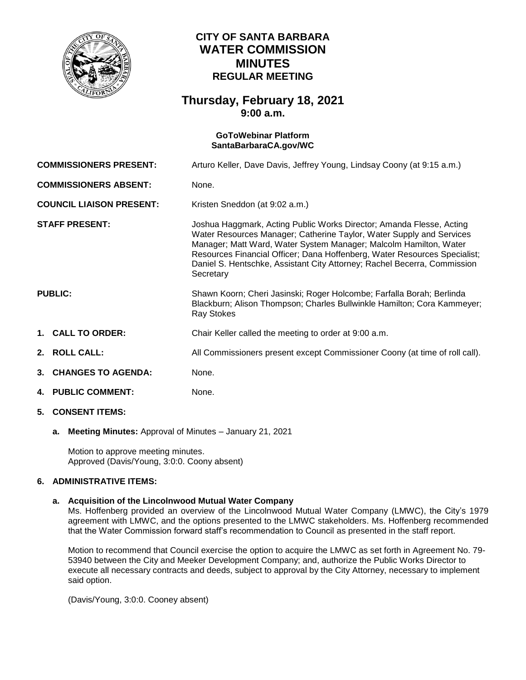

# **CITY OF SANTA BARBARA WATER COMMISSION MINUTES REGULAR MEETING**

## **Thursday, February 18, 2021 9:00 a.m.**

## **GoToWebinar Platform [SantaBarbaraCA.gov/WC](https://www.santabarbaraca.gov/gov/brdcomm/nz/water/agendas.asp)**

**COMMISSIONERS PRESENT:** Arturo Keller, Dave Davis, Jeffrey Young, Lindsay Coony (at 9:15 a.m.) **COMMISSIONERS ABSENT:** None. **COUNCIL LIAISON PRESENT:** Kristen Sneddon (at 9:02 a.m.)

**STAFF PRESENT:** Joshua Haggmark, Acting Public Works Director; Amanda Flesse, Acting Water Resources Manager; Catherine Taylor, Water Supply and Services Manager; Matt Ward, Water System Manager; Malcolm Hamilton, Water Resources Financial Officer; Dana Hoffenberg, Water Resources Specialist; Daniel S. Hentschke, Assistant City Attorney; Rachel Becerra, Commission **Secretary** 

## **PUBLIC:** Shawn Koorn; Cheri Jasinski; Roger Holcombe; Farfalla Borah; Berlinda Blackburn; Alison Thompson; Charles Bullwinkle Hamilton; Cora Kammeyer; Ray Stokes

- **1. CALL TO ORDER:** Chair Keller called the meeting to order at 9:00 a.m.
- **2. ROLL CALL:** All Commissioners present except Commissioner Coony (at time of roll call).
- **3. CHANGES TO AGENDA:** None.
- **4. PUBLIC COMMENT:** None.
- **5. CONSENT ITEMS:**
	- **a. Meeting Minutes:** Approval of Minutes January 21, 2021

Motion to approve meeting minutes. Approved (Davis/Young, 3:0:0. Coony absent)

## **6. ADMINISTRATIVE ITEMS:**

## **a. Acquisition of the Lincolnwood Mutual Water Company**

Ms. Hoffenberg provided an overview of the Lincolnwood Mutual Water Company (LMWC), the City's 1979 agreement with LMWC, and the options presented to the LMWC stakeholders. Ms. Hoffenberg recommended that the Water Commission forward staff's recommendation to Council as presented in the staff report.

Motion to recommend that Council exercise the option to acquire the LMWC as set forth in Agreement No. 79- 53940 between the City and Meeker Development Company; and, authorize the Public Works Director to execute all necessary contracts and deeds, subject to approval by the City Attorney, necessary to implement said option.

(Davis/Young, 3:0:0. Cooney absent)